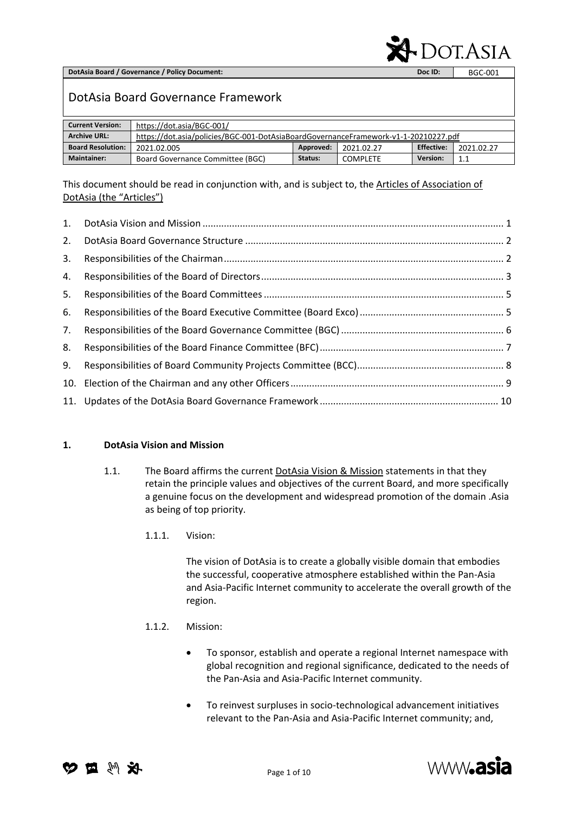**DotAsia Board / Governance / Policy Document: Doc ID:** BGC-001

# **DOT.ASIA**

# DotAsia Board Governance Framework

| <b>Current Version:</b>  | https://dot.asia/BGC-001/                                                           |           |            |                   |            |
|--------------------------|-------------------------------------------------------------------------------------|-----------|------------|-------------------|------------|
| <b>Archive URL:</b>      | https://dot.asia/policies/BGC-001-DotAsiaBoardGovernanceFramework-v1-1-20210227.pdf |           |            |                   |            |
| <b>Board Resolution:</b> | 2021.02.005                                                                         | Approved: | 2021.02.27 | <b>Effective:</b> | 2021.02.27 |
| <b>Maintainer:</b>       | Board Governance Committee (BGC)                                                    | Status:   | COMPLETE   | <b>Version:</b>   | 1.1        |

This document should be read in conjunction with, and is subject to, the Articles of Association of [DotAsia \(the "Articles"\)](https://www.dot.asia/dotasia-memorandum-articles-of-incorporation/)

| 1. |  |
|----|--|
| 2. |  |
| 3. |  |
| 4. |  |
| 5. |  |
| 6. |  |
| 7. |  |
| 8. |  |
| 9. |  |
|    |  |
|    |  |

#### <span id="page-0-0"></span>**1. DotAsia Vision and Mission**

- 1.1. The Board affirms the current [DotAsia Vision & Mission](https://www.dot.asia/dotasia-organisation/about-dotasia/#visionmission) statements in that they retain the principle values and objectives of the current Board, and more specifically a genuine focus on the development and widespread promotion of the domain .Asia as being of top priority.
	- 1.1.1. Vision:

The vision of DotAsia is to create a globally visible domain that embodies the successful, cooperative atmosphere established within the Pan-Asia and Asia-Pacific Internet community to accelerate the overall growth of the region.

#### 1.1.2. Mission:

- To sponsor, establish and operate a regional Internet namespace with global recognition and regional significance, dedicated to the needs of the Pan-Asia and Asia-Pacific Internet community.
- To reinvest surpluses in socio-technological advancement initiatives relevant to the Pan-Asia and Asia-Pacific Internet community; and,



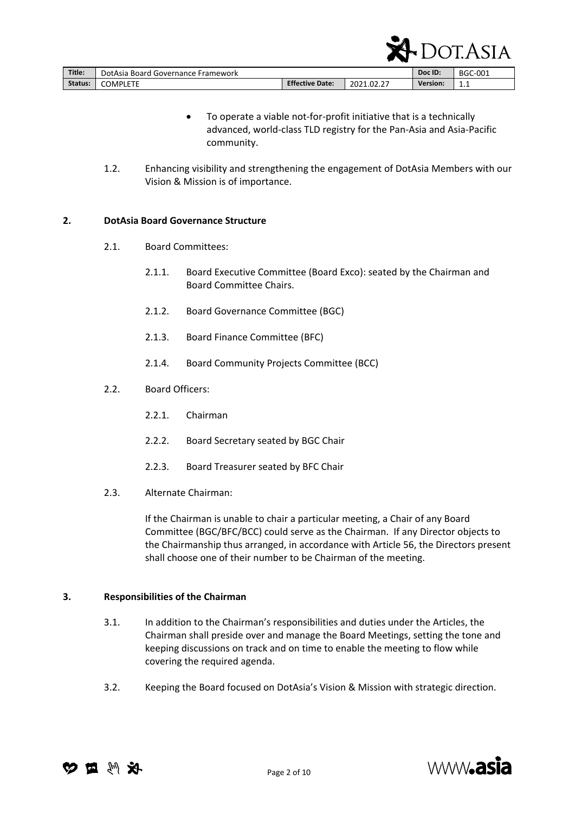|         |                                    |                        | ÷         | —               | .              |
|---------|------------------------------------|------------------------|-----------|-----------------|----------------|
| Title:  | DotAsia Board Governance Framework |                        |           | Doc ID:         | <b>BGC-001</b> |
| Status: | <b>COMPLETE</b>                    | <b>Effective Date:</b> | 2021.02.2 | <b>Version:</b> | $\sim$<br>ᆠᆞᆠ  |

 To operate a viable not-for-profit initiative that is a technically advanced, world-class TLD registry for the Pan-Asia and Asia-Pacific community.

 $\mathbf{A}$  DOT ASIA

1.2. Enhancing visibility and strengthening the engagement of DotAsia Members with our Vision & Mission is of importance.

#### <span id="page-1-0"></span>**2. DotAsia Board Governance Structure**

- 2.1. Board Committees:
	- 2.1.1. Board Executive Committee (Board Exco): seated by the Chairman and Board Committee Chairs.
	- 2.1.2. Board Governance Committee (BGC)
	- 2.1.3. Board Finance Committee (BFC)
	- 2.1.4. Board Community Projects Committee (BCC)
- 2.2. Board Officers:
	- 2.2.1. Chairman
	- 2.2.2. Board Secretary seated by BGC Chair
	- 2.2.3. Board Treasurer seated by BFC Chair
- 2.3. Alternate Chairman:

If the Chairman is unable to chair a particular meeting, a Chair of any Board Committee (BGC/BFC/BCC) could serve as the Chairman. If any Director objects to the Chairmanship thus arranged, in accordance with Article 56, the Directors present shall choose one of their number to be Chairman of the meeting.

#### <span id="page-1-1"></span>**3. Responsibilities of the Chairman**

- 3.1. In addition to the Chairman's responsibilities and duties under the Articles, the Chairman shall preside over and manage the Board Meetings, setting the tone and keeping discussions on track and on time to enable the meeting to flow while covering the required agenda.
- 3.2. Keeping the Board focused on DotAsia's Vision & Mission with strategic direction.



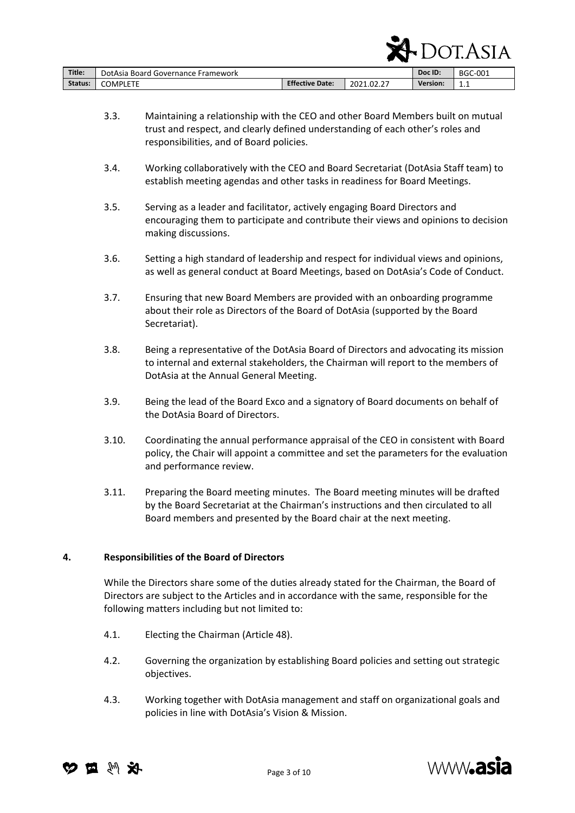|         |                                    |                        | $\sim$<br>x. | . .<br>ີ |                |
|---------|------------------------------------|------------------------|--------------|----------|----------------|
| Title:  | DotAsia Board Governance Framework |                        |              | Doc ID:  | <b>BGC-001</b> |
| Status: | <b>COMPLETE</b>                    | <b>Effective Date:</b> | 2021.02.2    | Version: | $\sim$<br>ᆠᆞ   |

3.3. Maintaining a relationship with the CEO and other Board Members built on mutual trust and respect, and clearly defined understanding of each other's roles and responsibilities, and of Board policies.

 $\mathbf{A}$  DOT A STA

- 3.4. Working collaboratively with the CEO and Board Secretariat (DotAsia Staff team) to establish meeting agendas and other tasks in readiness for Board Meetings.
- 3.5. Serving as a leader and facilitator, actively engaging Board Directors and encouraging them to participate and contribute their views and opinions to decision making discussions.
- 3.6. Setting a high standard of leadership and respect for individual views and opinions, as well as general conduct at Board Meetings, based on DotAsia's Code of Conduct.
- 3.7. Ensuring that new Board Members are provided with an onboarding programme about their role as Directors of the Board of DotAsia (supported by the Board Secretariat).
- 3.8. Being a representative of the DotAsia Board of Directors and advocating its mission to internal and external stakeholders, the Chairman will report to the members of DotAsia at the Annual General Meeting.
- 3.9. Being the lead of the Board Exco and a signatory of Board documents on behalf of the DotAsia Board of Directors.
- 3.10. Coordinating the annual performance appraisal of the CEO in consistent with Board policy, the Chair will appoint a committee and set the parameters for the evaluation and performance review.
- 3.11. Preparing the Board meeting minutes. The Board meeting minutes will be drafted by the Board Secretariat at the Chairman's instructions and then circulated to all Board members and presented by the Board chair at the next meeting.

# <span id="page-2-0"></span>**4. Responsibilities of the Board of Directors**

While the Directors share some of the duties already stated for the Chairman, the Board of Directors are subject to the Articles and in accordance with the same, responsible for the following matters including but not limited to:

- 4.1. Electing the Chairman (Article 48).
- 4.2. Governing the organization by establishing Board policies and setting out strategic objectives.
- 4.3. Working together with DotAsia management and staff on organizational goals and policies in line with DotAsia's Vision & Mission.



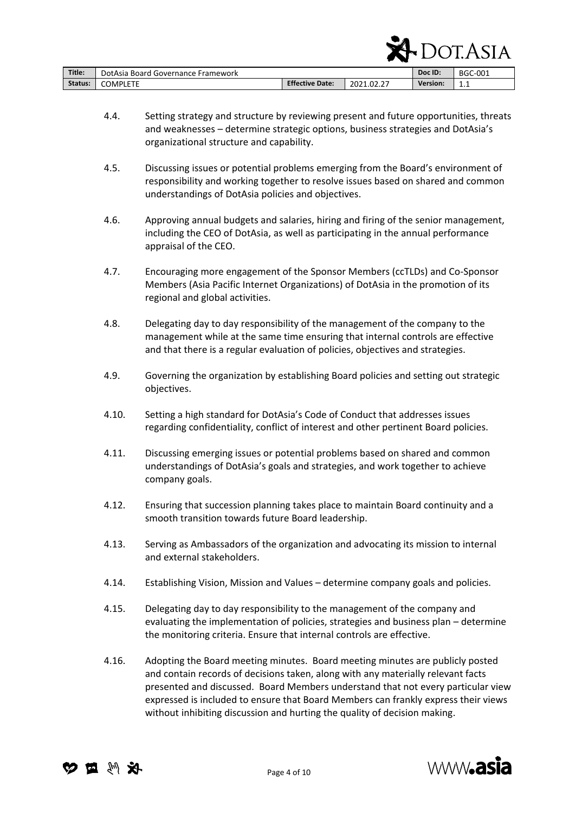| Title:  | DotAsia Board Governance Framework |                        |            | Doc ID:         | <b>BGC-001</b> |
|---------|------------------------------------|------------------------|------------|-----------------|----------------|
| Status: | <b>COMPLETE</b>                    | <b>Effective Date:</b> | 2021.02.27 | <b>Version:</b> | 1.1            |

4.4. Setting strategy and structure by reviewing present and future opportunities, threats and weaknesses – determine strategic options, business strategies and DotAsia's organizational structure and capability.

 $\Delta$  DOT ACLA

- 4.5. Discussing issues or potential problems emerging from the Board's environment of responsibility and working together to resolve issues based on shared and common understandings of DotAsia policies and objectives.
- 4.6. Approving annual budgets and salaries, hiring and firing of the senior management, including the CEO of DotAsia, as well as participating in the annual performance appraisal of the CEO.
- 4.7. Encouraging more engagement of the Sponsor Members (ccTLDs) and Co-Sponsor Members (Asia Pacific Internet Organizations) of DotAsia in the promotion of its regional and global activities.
- 4.8. Delegating day to day responsibility of the management of the company to the management while at the same time ensuring that internal controls are effective and that there is a regular evaluation of policies, objectives and strategies.
- 4.9. Governing the organization by establishing Board policies and setting out strategic objectives.
- 4.10. Setting a high standard for DotAsia's Code of Conduct that addresses issues regarding confidentiality, conflict of interest and other pertinent Board policies.
- 4.11. Discussing emerging issues or potential problems based on shared and common understandings of DotAsia's goals and strategies, and work together to achieve company goals.
- 4.12. Ensuring that succession planning takes place to maintain Board continuity and a smooth transition towards future Board leadership.
- 4.13. Serving as Ambassadors of the organization and advocating its mission to internal and external stakeholders.
- 4.14. Establishing Vision, Mission and Values determine company goals and policies.
- 4.15. Delegating day to day responsibility to the management of the company and evaluating the implementation of policies, strategies and business plan – determine the monitoring criteria. Ensure that internal controls are effective.
- 4.16. Adopting the Board meeting minutes. Board meeting minutes are publicly posted and contain records of decisions taken, along with any materially relevant facts presented and discussed. Board Members understand that not every particular view expressed is included to ensure that Board Members can frankly express their views without inhibiting discussion and hurting the quality of decision making.



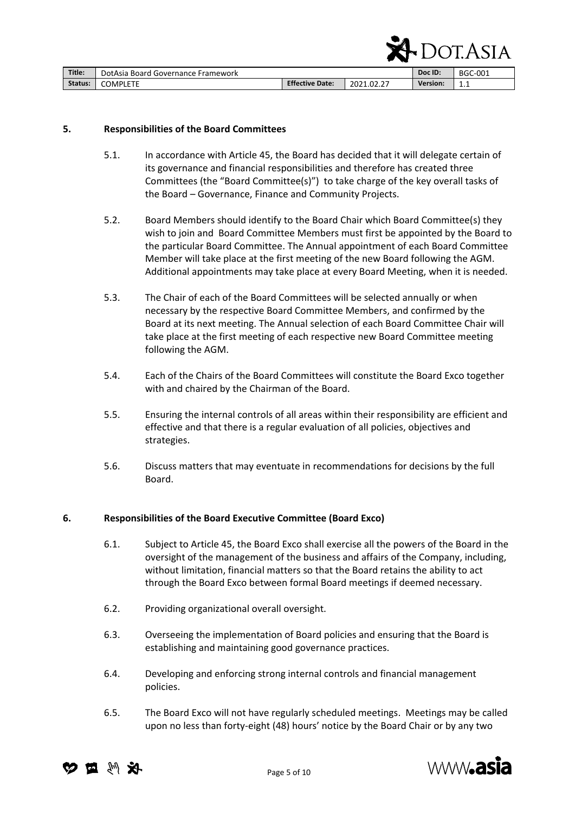|         |                                    |                        |            |                 | ASIA    |
|---------|------------------------------------|------------------------|------------|-----------------|---------|
| Title:  | DotAsia Board Governance Framework |                        |            | Doc ID:         | BGC-001 |
| Status: | <b>COMPLETE</b>                    | <b>Effective Date:</b> | 2021.02.27 | <b>Version:</b> | 1.1     |

#### <span id="page-4-0"></span>**5. Responsibilities of the Board Committees**

- 5.1. In accordance with Article 45, the Board has decided that it will delegate certain of its governance and financial responsibilities and therefore has created three Committees (the "Board Committee(s)") to take charge of the key overall tasks of the Board – Governance, Finance and Community Projects.
- 5.2. Board Members should identify to the Board Chair which Board Committee(s) they wish to join and Board Committee Members must first be appointed by the Board to the particular Board Committee. The Annual appointment of each Board Committee Member will take place at the first meeting of the new Board following the AGM. Additional appointments may take place at every Board Meeting, when it is needed.
- 5.3. The Chair of each of the Board Committees will be selected annually or when necessary by the respective Board Committee Members, and confirmed by the Board at its next meeting. The Annual selection of each Board Committee Chair will take place at the first meeting of each respective new Board Committee meeting following the AGM.
- 5.4. Each of the Chairs of the Board Committees will constitute the Board Exco together with and chaired by the Chairman of the Board.
- 5.5. Ensuring the internal controls of all areas within their responsibility are efficient and effective and that there is a regular evaluation of all policies, objectives and strategies.
- 5.6. Discuss matters that may eventuate in recommendations for decisions by the full Board.

#### <span id="page-4-1"></span>**6. Responsibilities of the Board Executive Committee (Board Exco)**

- 6.1. Subject to Article 45, the Board Exco shall exercise all the powers of the Board in the oversight of the management of the business and affairs of the Company, including, without limitation, financial matters so that the Board retains the ability to act through the Board Exco between formal Board meetings if deemed necessary.
- 6.2. Providing organizational overall oversight.
- 6.3. Overseeing the implementation of Board policies and ensuring that the Board is establishing and maintaining good governance practices.
- 6.4. Developing and enforcing strong internal controls and financial management policies.
- 6.5. The Board Exco will not have regularly scheduled meetings. Meetings may be called upon no less than forty-eight (48) hours' notice by the Board Chair or by any two





 $\sum_{\alpha=1}^{\infty}$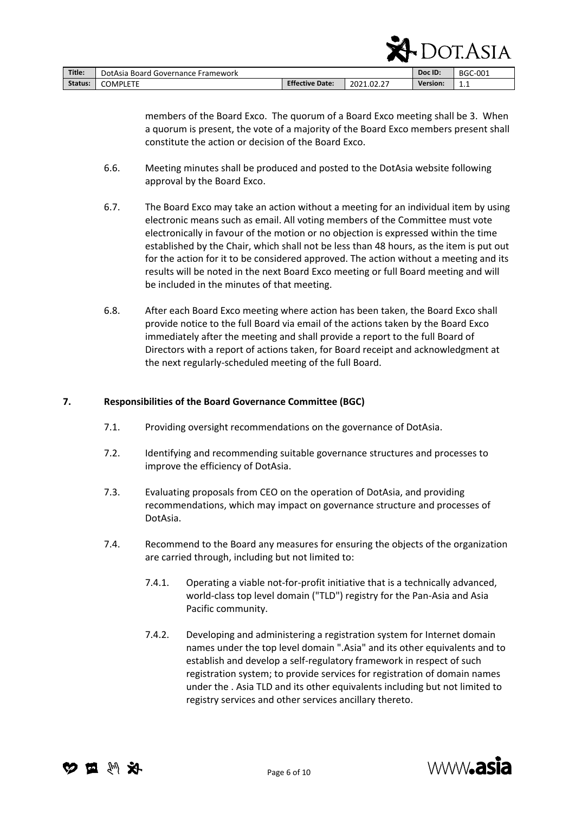|         |                                    |                        |            |                 | SF LULASIA     |
|---------|------------------------------------|------------------------|------------|-----------------|----------------|
| Title:  | DotAsia Board Governance Framework |                        |            | Doc ID:         | <b>BGC-001</b> |
| Status: | <b>COMPLETE</b>                    | <b>Effective Date:</b> | 2021.02.27 | <b>Version:</b> | 1.1            |

members of the Board Exco. The quorum of a Board Exco meeting shall be 3. When a quorum is present, the vote of a majority of the Board Exco members present shall constitute the action or decision of the Board Exco.

 $\sum_{\text{OPT}}$ 

- 6.6. Meeting minutes shall be produced and posted to the DotAsia website following approval by the Board Exco.
- 6.7. The Board Exco may take an action without a meeting for an individual item by using electronic means such as email. All voting members of the Committee must vote electronically in favour of the motion or no objection is expressed within the time established by the Chair, which shall not be less than 48 hours, as the item is put out for the action for it to be considered approved. The action without a meeting and its results will be noted in the next Board Exco meeting or full Board meeting and will be included in the minutes of that meeting.
- 6.8. After each Board Exco meeting where action has been taken, the Board Exco shall provide notice to the full Board via email of the actions taken by the Board Exco immediately after the meeting and shall provide a report to the full Board of Directors with a report of actions taken, for Board receipt and acknowledgment at the next regularly-scheduled meeting of the full Board.

#### <span id="page-5-0"></span>**7. Responsibilities of the Board Governance Committee (BGC)**

- 7.1. Providing oversight recommendations on the governance of DotAsia.
- 7.2. Identifying and recommending suitable governance structures and processes to improve the efficiency of DotAsia.
- 7.3. Evaluating proposals from CEO on the operation of DotAsia, and providing recommendations, which may impact on governance structure and processes of DotAsia.
- 7.4. Recommend to the Board any measures for ensuring the objects of the organization are carried through, including but not limited to:
	- 7.4.1. Operating a viable not-for-profit initiative that is a technically advanced, world-class top level domain ("TLD") registry for the Pan-Asia and Asia Pacific community.
	- 7.4.2. Developing and administering a registration system for Internet domain names under the top level domain ".Asia" and its other equivalents and to establish and develop a self-regulatory framework in respect of such registration system; to provide services for registration of domain names under the . Asia TLD and its other equivalents including but not limited to registry services and other services ancillary thereto.



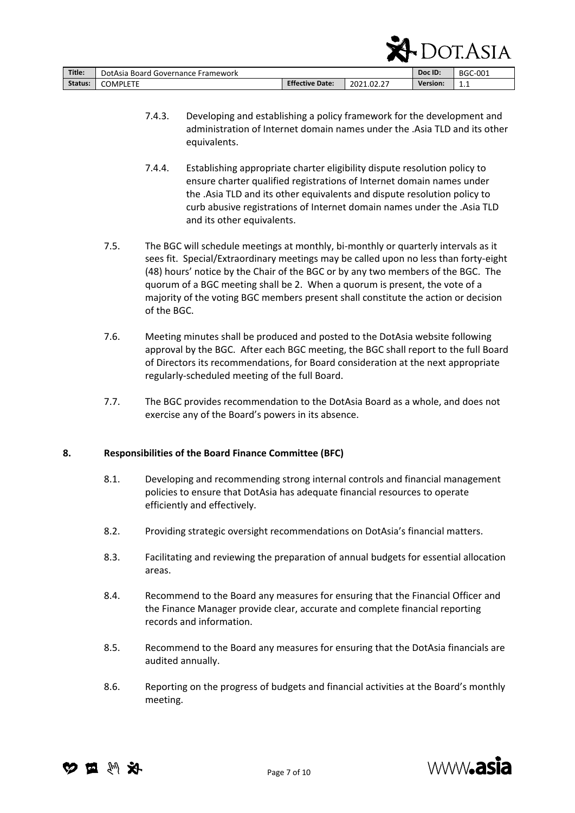|         |                                    |                        |            |          | $\Pi$ DUI.ASIA |
|---------|------------------------------------|------------------------|------------|----------|----------------|
| Title:  | DotAsia Board Governance Framework |                        |            | Doc ID:  | <b>BGC-001</b> |
| Status: | <b>COMPLETE</b>                    | <b>Effective Date:</b> | 2021.02.27 | Version: | 1.1            |

7.4.3. Developing and establishing a policy framework for the development and administration of Internet domain names under the .Asia TLD and its other equivalents.

 $\Gamma$ 

- 7.4.4. Establishing appropriate charter eligibility dispute resolution policy to ensure charter qualified registrations of Internet domain names under the .Asia TLD and its other equivalents and dispute resolution policy to curb abusive registrations of Internet domain names under the .Asia TLD and its other equivalents.
- 7.5. The BGC will schedule meetings at monthly, bi-monthly or quarterly intervals as it sees fit. Special/Extraordinary meetings may be called upon no less than forty-eight (48) hours' notice by the Chair of the BGC or by any two members of the BGC. The quorum of a BGC meeting shall be 2. When a quorum is present, the vote of a majority of the voting BGC members present shall constitute the action or decision of the BGC.
- 7.6. Meeting minutes shall be produced and posted to the DotAsia website following approval by the BGC. After each BGC meeting, the BGC shall report to the full Board of Directors its recommendations, for Board consideration at the next appropriate regularly-scheduled meeting of the full Board.
- 7.7. The BGC provides recommendation to the DotAsia Board as a whole, and does not exercise any of the Board's powers in its absence.

# <span id="page-6-0"></span>**8. Responsibilities of the Board Finance Committee (BFC)**

- 8.1. Developing and recommending strong internal controls and financial management policies to ensure that DotAsia has adequate financial resources to operate efficiently and effectively.
- 8.2. Providing strategic oversight recommendations on DotAsia's financial matters.
- 8.3. Facilitating and reviewing the preparation of annual budgets for essential allocation areas.
- 8.4. Recommend to the Board any measures for ensuring that the Financial Officer and the Finance Manager provide clear, accurate and complete financial reporting records and information.
- 8.5. Recommend to the Board any measures for ensuring that the DotAsia financials are audited annually.
- 8.6. Reporting on the progress of budgets and financial activities at the Board's monthly meeting.



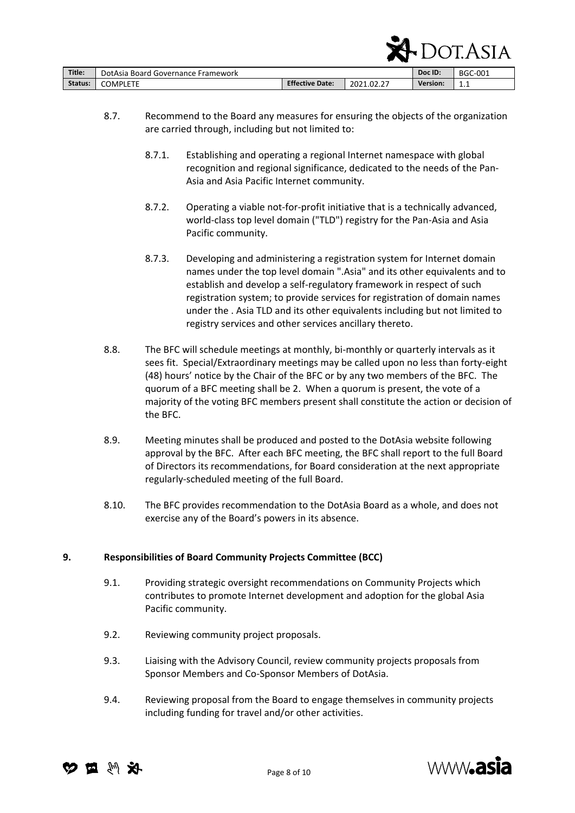|         |                                    |                        |            | н               | ' JI.ASIA '    |
|---------|------------------------------------|------------------------|------------|-----------------|----------------|
| Title:  | DotAsia Board Governance Framework |                        |            | Doc ID:         | <b>BGC-001</b> |
| Status: | <b>COMPLETE</b>                    | <b>Effective Date:</b> | 2021.02.27 | <b>Version:</b> | 1.1            |

- 8.7. Recommend to the Board any measures for ensuring the objects of the organization are carried through, including but not limited to:
	- 8.7.1. Establishing and operating a regional Internet namespace with global recognition and regional significance, dedicated to the needs of the Pan-Asia and Asia Pacific Internet community.
	- 8.7.2. Operating a viable not-for-profit initiative that is a technically advanced, world-class top level domain ("TLD") registry for the Pan-Asia and Asia Pacific community.
	- 8.7.3. Developing and administering a registration system for Internet domain names under the top level domain ".Asia" and its other equivalents and to establish and develop a self-regulatory framework in respect of such registration system; to provide services for registration of domain names under the . Asia TLD and its other equivalents including but not limited to registry services and other services ancillary thereto.
- 8.8. The BFC will schedule meetings at monthly, bi-monthly or quarterly intervals as it sees fit. Special/Extraordinary meetings may be called upon no less than forty-eight (48) hours' notice by the Chair of the BFC or by any two members of the BFC. The quorum of a BFC meeting shall be 2. When a quorum is present, the vote of a majority of the voting BFC members present shall constitute the action or decision of the BFC.
- 8.9. Meeting minutes shall be produced and posted to the DotAsia website following approval by the BFC. After each BFC meeting, the BFC shall report to the full Board of Directors its recommendations, for Board consideration at the next appropriate regularly-scheduled meeting of the full Board.
- 8.10. The BFC provides recommendation to the DotAsia Board as a whole, and does not exercise any of the Board's powers in its absence.

# <span id="page-7-0"></span>**9. Responsibilities of Board Community Projects Committee (BCC)**

- 9.1. Providing strategic oversight recommendations on Community Projects which contributes to promote Internet development and adoption for the global Asia Pacific community.
- 9.2. Reviewing community project proposals.
- 9.3. Liaising with the Advisory Council, review community projects proposals from Sponsor Members and Co-Sponsor Members of DotAsia.
- 9.4. Reviewing proposal from the Board to engage themselves in community projects including funding for travel and/or other activities.





 $\Gamma$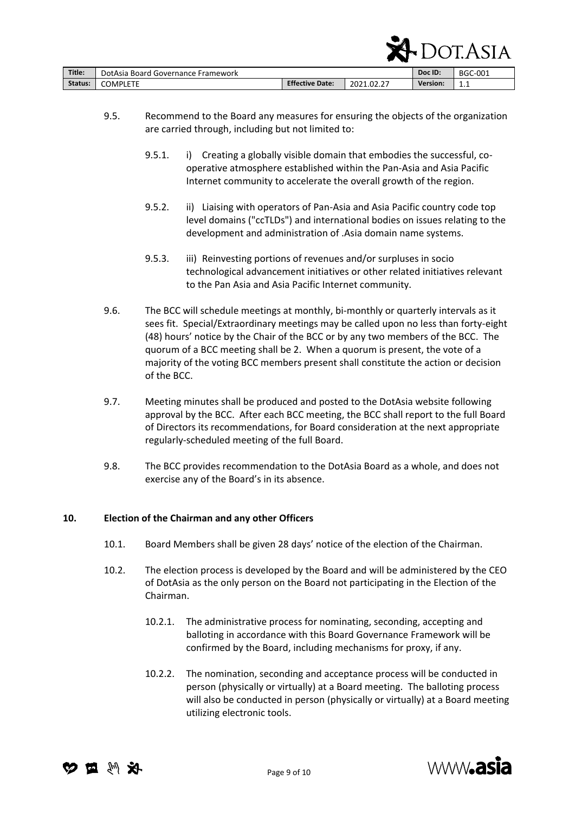|         |                                    |                        |            |                 | LULASIA. |
|---------|------------------------------------|------------------------|------------|-----------------|----------|
| Title:  | DotAsia Board Governance Framework |                        |            | Doc ID:         | BGC-001  |
| Status: | <b>COMPLETE</b>                    | <b>Effective Date:</b> | 2021.02.27 | <b>Version:</b> | 1.1      |

- 9.5. Recommend to the Board any measures for ensuring the objects of the organization are carried through, including but not limited to:
	- 9.5.1. i) Creating a globally visible domain that embodies the successful, cooperative atmosphere established within the Pan-Asia and Asia Pacific Internet community to accelerate the overall growth of the region.
	- 9.5.2. ii) Liaising with operators of Pan-Asia and Asia Pacific country code top level domains ("ccTLDs") and international bodies on issues relating to the development and administration of .Asia domain name systems.
	- 9.5.3. iii) Reinvesting portions of revenues and/or surpluses in socio technological advancement initiatives or other related initiatives relevant to the Pan Asia and Asia Pacific Internet community.
- 9.6. The BCC will schedule meetings at monthly, bi-monthly or quarterly intervals as it sees fit. Special/Extraordinary meetings may be called upon no less than forty-eight (48) hours' notice by the Chair of the BCC or by any two members of the BCC. The quorum of a BCC meeting shall be 2. When a quorum is present, the vote of a majority of the voting BCC members present shall constitute the action or decision of the BCC.
- 9.7. Meeting minutes shall be produced and posted to the DotAsia website following approval by the BCC. After each BCC meeting, the BCC shall report to the full Board of Directors its recommendations, for Board consideration at the next appropriate regularly-scheduled meeting of the full Board.
- 9.8. The BCC provides recommendation to the DotAsia Board as a whole, and does not exercise any of the Board's in its absence.

#### <span id="page-8-0"></span>**10. Election of the Chairman and any other Officers**

- 10.1. Board Members shall be given 28 days' notice of the election of the Chairman.
- 10.2. The election process is developed by the Board and will be administered by the CEO of DotAsia as the only person on the Board not participating in the Election of the Chairman.
	- 10.2.1. The administrative process for nominating, seconding, accepting and balloting in accordance with this Board Governance Framework will be confirmed by the Board, including mechanisms for proxy, if any.
	- 10.2.2. The nomination, seconding and acceptance process will be conducted in person (physically or virtually) at a Board meeting. The balloting process will also be conducted in person (physically or virtually) at a Board meeting utilizing electronic tools.





 $\sum_{\text{OPT}}$